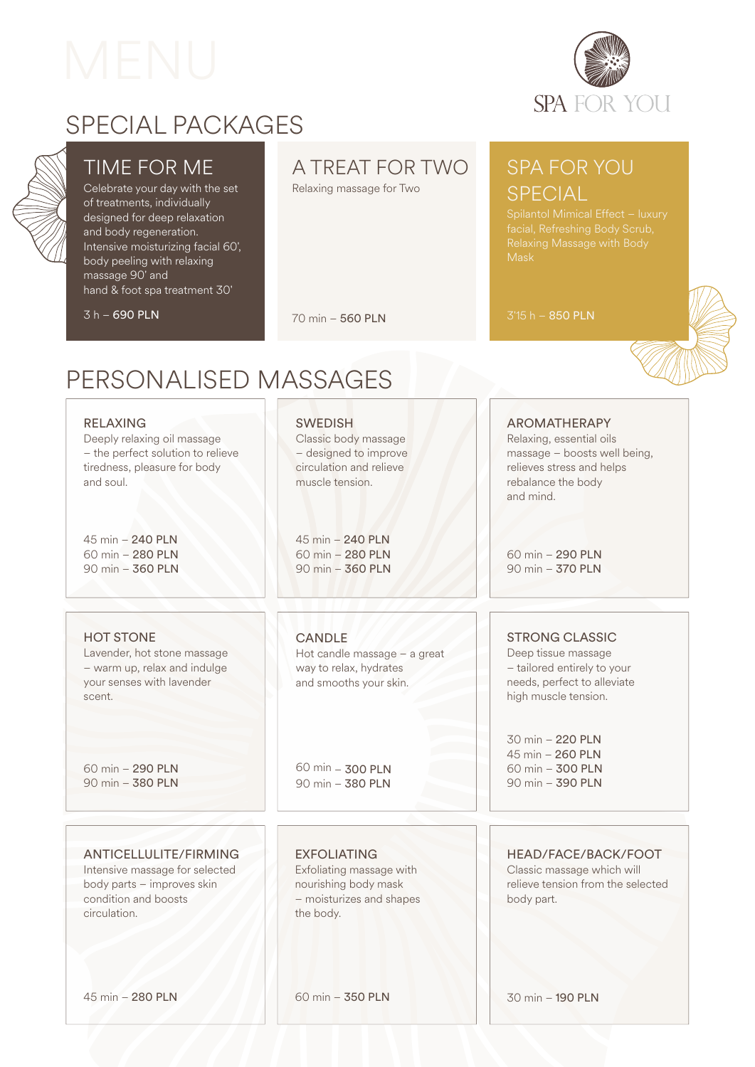TIME FOR ME Celebrate your day with the set of treatments, individually designed for deep relaxation and body regeneration.

Intensive moisturizing facial 60', body peeling with relaxing

hand & foot spa treatment 30'

massage 90' and

 $\frac{1}{3}$  h – 690 PLN



# SPECIAL PACKAGES

# A TREAT FOR TWO

Relaxing massage for Two

## SPA FOR YOU **SPECIAL**

3'15 h – 850 PLN

# PERSONALISED MASSAGES

#### RELAXING

Deeply relaxing oil massage – the perfect solution to relieve tiredness, pleasure for body and soul.

45 min – 240 PLN 60 min – 280 PLN 90 min – 360 PLN

#### HOT STONE

Lavender, hot stone massage – warm up, relax and indulge your senses with lavender scent.

60 min – 290 PLN 90 min – 380 PLN

#### ANTICELLULITE/FIRMING

Intensive massage for selected body parts – improves skin condition and boosts circulation.

**SWEDISH** 

70 min – 560 PLN

Classic body massage – designed to improve circulation and relieve muscle tension.

45 min – 240 PLN 60 min – 280 PLN 90 min – 360 PLN

#### CANDLE

Hot candle massage – a great way to relax, hydrates and smooths your skin.

60 min – 300 PLN 90 min – 380 PLN

#### EXFOLIATING

Exfoliating massage with nourishing body mask – moisturizes and shapes the body.

60 min – 350 PLN

### AROMATHERAPY

Relaxing, essential oils massage – boosts well being, relieves stress and helps rebalance the body and mind.

60 min – 290 PLN 90 min – 370 PLN

#### STRONG CLASSIC

Deep tissue massage – tailored entirely to your needs, perfect to alleviate high muscle tension.

30 min – 220 PLN 45 min – 260 PLN 60 min – 300 PLN 90 min – 390 PLN

30 min – 190 PLN

#### HEAD/FACE/BACK/FOOT

Classic massage which will relieve tension from the selected body part.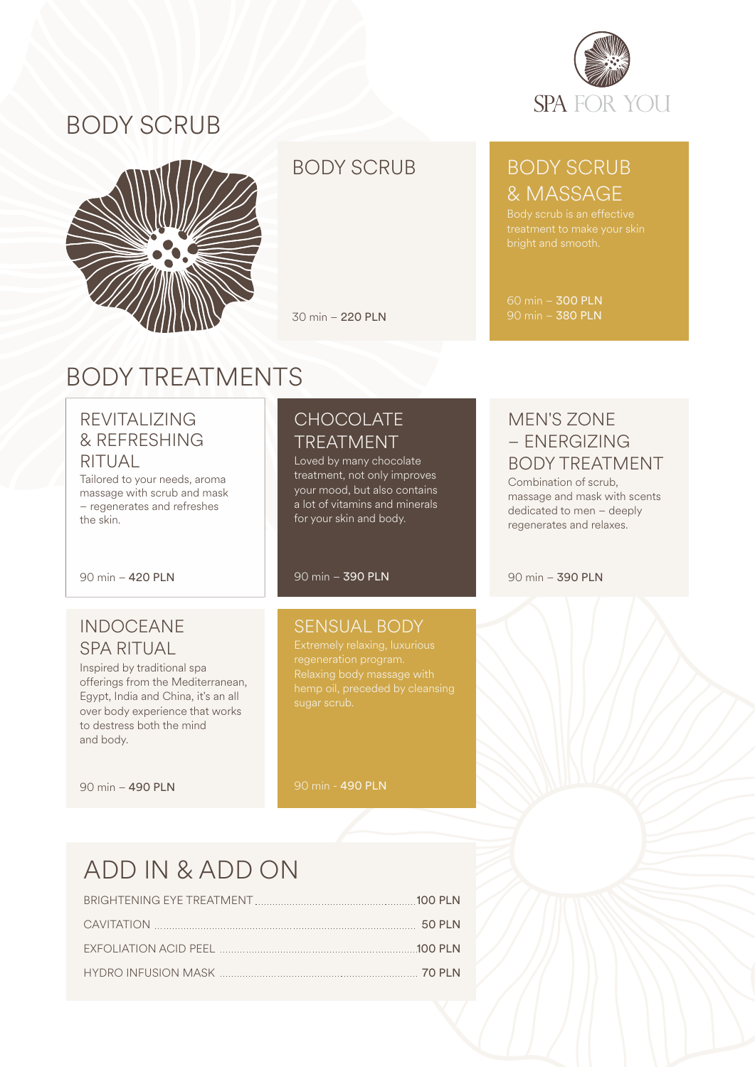

# BODY SCRUB



### BODY SCRUB

30 min – 220 PLN

## BODY SCRUB & MASSAGE

60 min – 300 PLN 90 min – 380 PLN

# BODY TREATMENTS

### REVITALIZING & REFRESHING RITUAL

Tailored to your needs, aroma massage with scrub and mask – regenerates and refreshes the skin.

90 min – 420 PLN

### INDOCEANE SPA RITUAL

Inspired by traditional spa offerings from the Mediterranean, Egypt, India and China, it's an all over body experience that works to destress both the mind and body.

90 min – 490 PLN

### **CHOCOLATE** TREATMENT

Loved by many chocolate treatment, not only improves your mood, but also contains a lot of vitamins and minerals for your skin and body.

90 min – 390 PLN

#### SENSUAL BODY

hemp oil, preceded by cleansing

90 min - 490 PLN

### MEN'S ZONE – ENERGIZING BODY TREATMENT

Combination of scrub, massage and mask with scents dedicated to men – deeply regenerates and relaxes.

90 min – 390 PLN

# ADD IN & ADD ON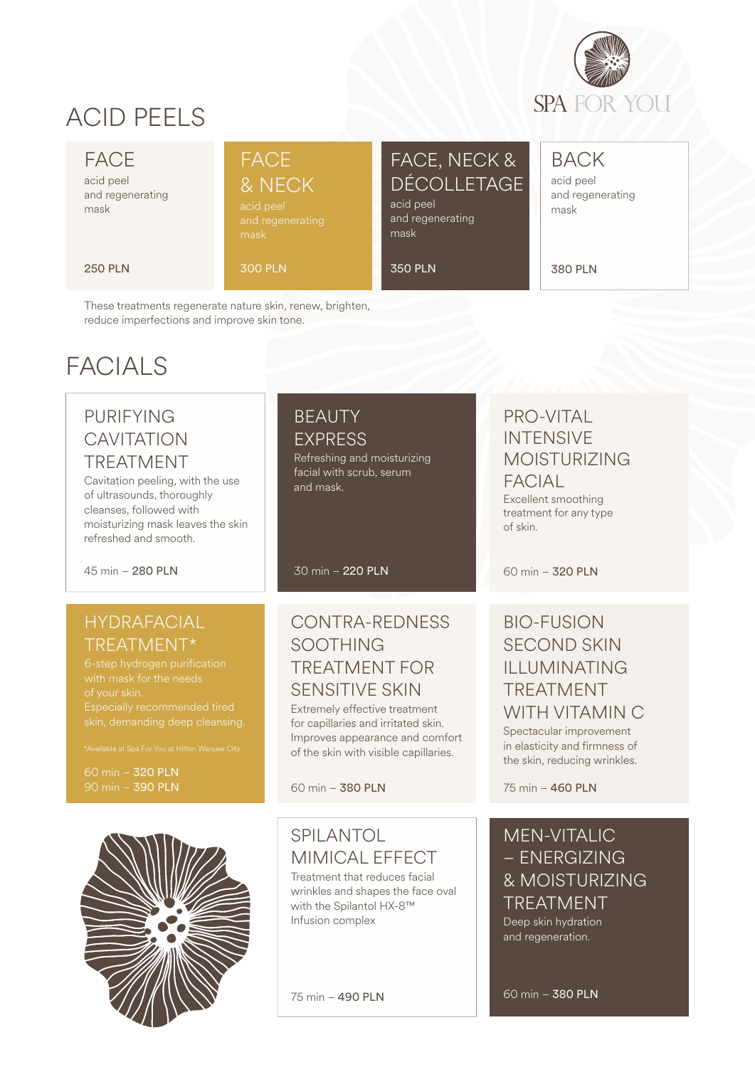

# ACID PEELS

#### FACE

acid peel and regenerating mask

#### 250 PLN

FACE

& NECK

300 PLN

## FACE, NECK & DÉCOLLETAGE

acid peel and regenerating mask

350 PLN

BACK acid peel and regenerating mask

380 PLN

These treatments regenerate nature skin, renew, brighten, reduce imperfections and improve skin tone.

# FACIAL<sub>S</sub>

### PURIFYING **CAVITATION** TREATMENT

Cavitation peeling, with the use of ultrasounds, thoroughly cleanses, followed with moisturizing mask leaves the skin refreshed and smooth.

45 min – 280 PLN

#### HYDRAFACIAL TREATMENT\*

Especially recommended tired skin, demanding deep cleansing.

60 min – 320 PLN 90 min – 390 PLN



30 min – 220 PLN

Refreshing and moisturizing facial with scrub, serum

BEAUTY EXPRESS

and mask.

### CONTRA-REDNESS SOOTHING TREATMENT FOR SENSITIVE SKIN

Extremely effective treatment for capillaries and irritated skin. Improves appearance and comfort of the skin with visible capillaries.

60 min – 380 PLN

### SPILANTOL MIMICAL EFFECT

Treatment that reduces facial wrinkles and shapes the face oval with the Spilantol HX-8™ Infusion complex

75 min – 490 PLN

### PRO-VITAL INTENSIVE MOISTURIZING **FACIAL**

Excellent smoothing treatment for any type of skin.

60 min – 320 PLN

### BIO-FUSION SECOND SKIN ILLUMINATING TREATMENT WITH VITAMIN C

Spectacular improvement in elasticity and firmness of the skin, reducing wrinkles.

75 min – 460 PLN

#### MEN-VITALIC – ENERGIZING & MOISTURIZING TREATMENT Deep skin hydration

60 min – 380 PLN

and regeneration.